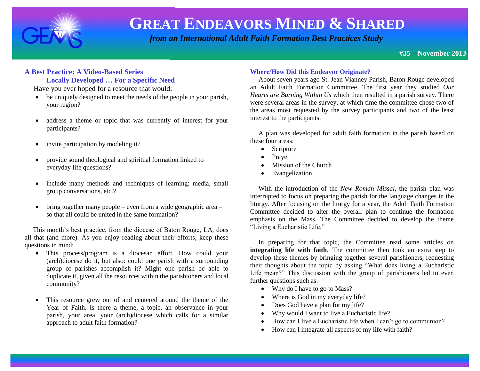

 *from an International Adult Faith Formation Best Practices Study*

**#35 – November 2013**

#### **A Best Practice: A Video-Based Series Locally Developed … For a Specific Need**

Have you ever hoped for a resource that would:

- be uniquely designed to meet the needs of the people in your parish, your region?
- address a theme or topic that was currently of interest for your participants?
- invite participation by modeling it?
- provide sound theological and spiritual formation linked to everyday life questions?
- include many methods and techniques of learning: media, small group conversations, etc.?
- $\bullet$  bring together many people even from a wide geographic area so that all could be united in the same formation?

 This month's best practice, from the diocese of Baton Rouge, LA, does all that (and more). As you enjoy reading about their efforts, keep these questions in mind:

- This process/program is a diocesan effort. How could your (arch)diocese do it, but also: could one parish with a surrounding group of parishes accomplish it? Might one parish be able to duplicate it, given all the resources within the parishioners and local community?
- This resource grew out of and centered around the theme of the Year of Faith. Is there a theme, a topic, an observance in your parish, your area, your (arch)diocese which calls for a similar approach to adult faith formation?

#### **Where/How Did this Endeavor Originate?**

 About seven years ago St. Jean Vianney Parish, Baton Rouge developed an Adult Faith Formation Committee. The first year they studied *Our Hearts are Burning Within Us* which then resulted in a parish survey. There were several areas in the survey, at which time the committee chose two of the areas most requested by the survey participants and two of the least interest to the participants.

 A plan was developed for adult faith formation in the parish based on these four areas:

- Scripture
- Prayer
- Mission of the Church
- Evangelization

 With the introduction of the *New Roman Missal*, the parish plan was interrupted to focus on preparing the parish for the language changes in the liturgy. After focusing on the liturgy for a year, the Adult Faith Formation Committee decided to alter the overall plan to continue the formation emphasis on the Mass. The Committee decided to develop the theme "Living a Eucharistic Life."

 In preparing for that topic, the Committee read some articles on **integrating life with faith**. The committee then took an extra step to develop these themes by bringing together several parishioners, requesting their thoughts about the topic by asking "What does living a Eucharistic Life mean?" This discussion with the group of parishioners led to even further questions such as:

- Why do I have to go to Mass?
- Where is God in my everyday life?
- Does God have a plan for my life?
- Why would I want to live a Eucharistic life?
- How can I live a Eucharistic life when I can't go to communion?
- How can I integrate all aspects of my life with faith?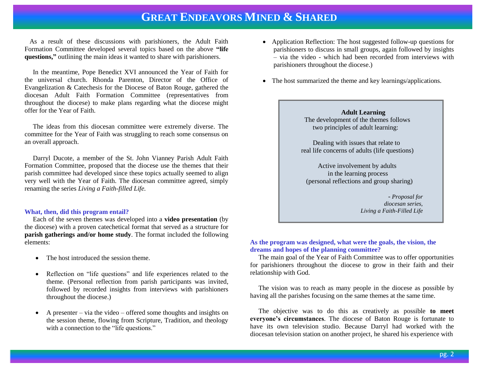As a result of these discussions with parishioners, the Adult Faith Formation Committee developed several topics based on the above **"life questions,"** outlining the main ideas it wanted to share with parishioners.

 In the meantime, Pope Benedict XVI announced the Year of Faith for the universal church. Rhonda Parenton, Director of the Office of Evangelization & Catechesis for the Diocese of Baton Rouge, gathered the diocesan Adult Faith Formation Committee (representatives from throughout the diocese) to make plans regarding what the diocese might offer for the Year of Faith.

 The ideas from this diocesan committee were extremely diverse. The committee for the Year of Faith was struggling to reach some consensus on an overall approach.

 Darryl Ducote, a member of the St. John Vianney Parish Adult Faith Formation Committee, proposed that the diocese use the themes that their parish committee had developed since these topics actually seemed to align very well with the Year of Faith. The diocesan committee agreed, simply renaming the series *Living a Faith-filled Life.*

#### **What, then, did this program entail?**

 Each of the seven themes was developed into a **video presentation** (by the diocese) with a proven catechetical format that served as a structure for **parish gatherings and/or home study**. The format included the following elements:

- The host introduced the session theme.
- Reflection on "life questions" and life experiences related to the theme. (Personal reflection from parish participants was invited, followed by recorded insights from interviews with parishioners throughout the diocese.)
- A presenter via the video offered some thoughts and insights on the session theme, flowing from Scripture, Tradition, and theology with a connection to the "life questions."
- Application Reflection: The host suggested follow-up questions for parishioners to discuss in small groups, again followed by insights – via the video - which had been recorded from interviews with parishioners throughout the diocese.)
- The host summarized the theme and key learnings/applications.



 Dealing with issues that relate to real life concerns of adults (life questions)

 Active involvement by adults in the learning process (personal reflections and group sharing)

> - *Proposal for diocesan series, Living a Faith-Filled Life*

#### **As the program was designed, what were the goals, the vision, the dreams and hopes of the planning committee?**

The main goal of the Year of Faith Committee was to offer opportunities for parishioners throughout the diocese to grow in their faith and their relationship with God.

 The vision was to reach as many people in the diocese as possible by having all the parishes focusing on the same themes at the same time.

 The objective was to do this as creatively as possible **to meet everyone's circumstances**. The diocese of Baton Rouge is fortunate to have its own television studio. Because Darryl had worked with the diocesan television station on another project, he shared his experience with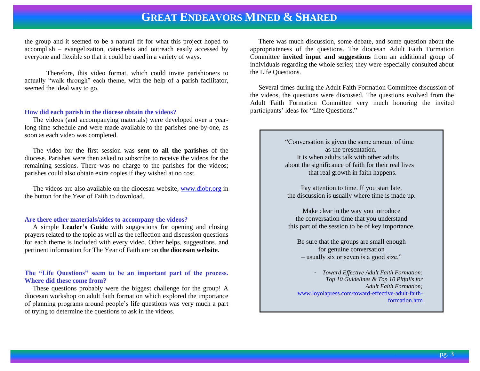the group and it seemed to be a natural fit for what this project hoped to accomplish – evangelization, catechesis and outreach easily accessed by everyone and flexible so that it could be used in a variety of ways.

Therefore, this video format, which could invite parishioners to actually "walk through" each theme, with the help of a parish facilitator, seemed the ideal way to go.

#### **How did each parish in the diocese obtain the videos?**

 The videos (and accompanying materials) were developed over a yearlong time schedule and were made available to the parishes one-by-one, as soon as each video was completed.

 The video for the first session was **sent to all the parishes** of the diocese. Parishes were then asked to subscribe to receive the videos for the remaining sessions. There was no charge to the parishes for the videos; parishes could also obtain extra copies if they wished at no cost.

 The videos are also available on the diocesan website, [www.diobr.org](http://www.diobr.org/) in the button for the Year of Faith to download.

#### **Are there other materials/aides to accompany the videos?**

 A simple **Leader's Guide** with suggestions for opening and closing prayers related to the topic as well as the reflection and discussion questions for each theme is included with every video. Other helps, suggestions, and pertinent information for The Year of Faith are on **the diocesan website**.

#### **The "Life Questions" seem to be an important part of the process. Where did these come from?**

 These questions probably were the biggest challenge for the group! A diocesan workshop on adult faith formation which explored the importance of planning programs around people's life questions was very much a part of trying to determine the questions to ask in the videos.

 There was much discussion, some debate, and some question about the appropriateness of the questions. The diocesan Adult Faith Formation Committee **invited input and suggestions** from an additional group of individuals regarding the whole series; they were especially consulted about the Life Questions.

 Several times during the Adult Faith Formation Committee discussion of the videos, the questions were discussed. The questions evolved from the Adult Faith Formation Committee very much honoring the invited participants' ideas for "Life Questions."

> "Conversation is given the same amount of time as the presentation. It is when adults talk with other adults about the significance of faith for their real lives that real growth in faith happens.

Pay attention to time. If you start late, the discussion is usually where time is made up.

Make clear in the way you introduce the conversation time that you understand this part of the session to be of key importance.

Be sure that the groups are small enough for genuine conversation – usually six or seven is a good size."

- *Toward Effective Adult Faith Formation: Top 10 Guidelines & Top 10 Pitfalls for Adult Faith Formation;* [www.loyolapress.com/toward-effective-adult-faith](http://www.loyolapress.com/toward-effective-adult-faith-formation.htm)[formation.htm](http://www.loyolapress.com/toward-effective-adult-faith-formation.htm)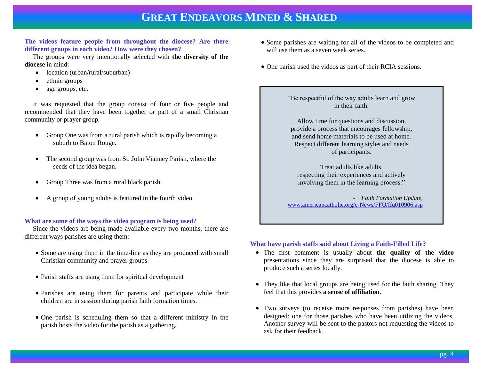#### **The videos feature people from throughout the diocese? Are there different groups in each video? How were they chosen?**

 The groups were very intentionally selected with **the diversity of the diocese** in mind:

- location (urban/rural/suburban)
- ethnic groups
- age groups, etc.

 It was requested that the group consist of four or five people and recommended that they have been together or part of a small Christian community or prayer group.

- Group One was from a rural parish which is rapidly becoming a suburb to Baton Rouge.
- The second group was from St. John Vianney Parish, where the seeds of the idea began.
- Group Three was from a rural black parish.
- A group of young adults is featured in the fourth video.

#### **What are some of the ways the video program is being used?**

 Since the videos are being made available every two months, there are different ways parishes are using them:

- Some are using them in the time-line as they are produced with small Christian community and prayer groups
- Parish staffs are using them for spiritual development
- Parishes are using them for parents and participate while their children are in session during parish faith formation times.
- One parish is scheduling them so that a different ministry in the parish hosts the video for the parish as a gathering.
- Some parishes are waiting for all of the videos to be completed and will use them as a seven week series.
- One parish used the videos as part of their RCIA sessions.

"Be respectful of the way adults learn and grow in their faith.

Allow time for questions and discussion, provide a process that encourages fellowship, and send home materials to be used at home. Respect different learning styles and needs of participants.

Treat adults like adults, respecting their experiences and actively involving them in the learning process."

- *Faith Formation Update,* [www.americancatholic.org/e-News/FFU/ffu010906.asp](http://www.americancatholic.org/e-News/FFU/ffu010906.asp)

#### **What have parish staffs said about Living a Faith-Filled Life?**

- The first comment is usually about **the quality of the video** presentations since they are surprised that the diocese is able to produce such a series locally.
- They like that local groups are being used for the faith sharing. They feel that this provides **a sense of affiliation**.
- Two surveys (to receive more responses from parishes) have been designed: one for those parishes who have been utilizing the videos. Another survey will be sent to the pastors not requesting the videos to ask for their feedback.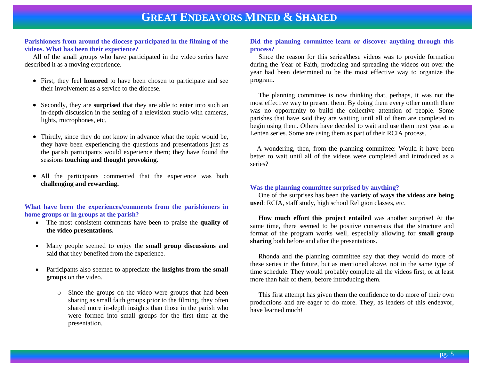#### **Parishioners from around the diocese participated in the filming of the videos. What has been their experience?**

 All of the small groups who have participated in the video series have described it as a moving experience.

- First, they feel **honored** to have been chosen to participate and see their involvement as a service to the diocese.
- Secondly, they are **surprised** that they are able to enter into such an in-depth discussion in the setting of a television studio with cameras, lights, microphones, etc.
- Thirdly, since they do not know in advance what the topic would be, they have been experiencing the questions and presentations just as the parish participants would experience them; they have found the sessions **touching and thought provoking.**
- All the participants commented that the experience was both **challenging and rewarding.**

#### **What have been the experiences/comments from the parishioners in home groups or in groups at the parish?**

- The most consistent comments have been to praise the **quality of the video presentations.**
- Many people seemed to enjoy the **small group discussions** and said that they benefited from the experience.
- Participants also seemed to appreciate the **insights from the small groups** on the video.
	- o Since the groups on the video were groups that had been sharing as small faith groups prior to the filming, they often shared more in-depth insights than those in the parish who were formed into small groups for the first time at the presentation.

#### **Did the planning committee learn or discover anything through this process?**

Since the reason for this series/these videos was to provide formation during the Year of Faith, producing and spreading the videos out over the year had been determined to be the most effective way to organize the program.

 The planning committee is now thinking that, perhaps, it was not the most effective way to present them. By doing them every other month there was no opportunity to build the collective attention of people. Some parishes that have said they are waiting until all of them are completed to begin using them. Others have decided to wait and use them next year as a Lenten series. Some are using them as part of their RCIA process.

 A wondering, then, from the planning committee: Would it have been better to wait until all of the videos were completed and introduced as a series?

#### **Was the planning committee surprised by anything?**

 One of the surprises has been the **variety of ways the videos are being used**: RCIA, staff study, high school Religion classes, etc.

 **How much effort this project entailed** was another surprise! At the same time, there seemed to be positive consensus that the structure and format of the program works well, especially allowing for **small group sharing** both before and after the presentations.

 Rhonda and the planning committee say that they would do more of these series in the future, but as mentioned above, not in the same type of time schedule. They would probably complete all the videos first, or at least more than half of them, before introducing them.

 This first attempt has given them the confidence to do more of their own productions and are eager to do more. They, as leaders of this endeavor, have learned much!